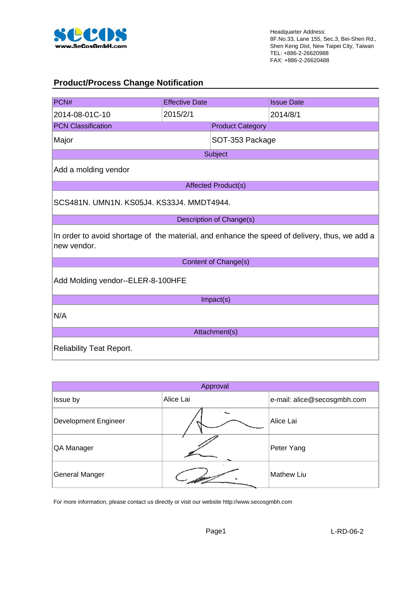

#### **Product/Process Change Notification**

| PCN#                                                                                                         | <b>Effective Date</b>             |                            | <b>Issue Date</b> |  |  |
|--------------------------------------------------------------------------------------------------------------|-----------------------------------|----------------------------|-------------------|--|--|
| 2014-08-01C-10                                                                                               | 2015/2/1                          |                            | 2014/8/1          |  |  |
| <b>PCN Classification</b>                                                                                    |                                   | <b>Product Category</b>    |                   |  |  |
| Major                                                                                                        |                                   | SOT-353 Package            |                   |  |  |
|                                                                                                              |                                   | Subject                    |                   |  |  |
| Add a molding vendor                                                                                         |                                   |                            |                   |  |  |
|                                                                                                              |                                   | <b>Affected Product(s)</b> |                   |  |  |
| SCS481N. UMN1N. KS05J4. KS33J4. MMDT4944.                                                                    |                                   |                            |                   |  |  |
|                                                                                                              |                                   | Description of Change(s)   |                   |  |  |
| In order to avoid shortage of the material, and enhance the speed of delivery, thus, we add a<br>new vendor. |                                   |                            |                   |  |  |
|                                                                                                              |                                   | Content of Change(s)       |                   |  |  |
|                                                                                                              | Add Molding vendor--ELER-8-100HFE |                            |                   |  |  |
| Impact(s)                                                                                                    |                                   |                            |                   |  |  |
| N/A                                                                                                          |                                   |                            |                   |  |  |
| Attachment(s)                                                                                                |                                   |                            |                   |  |  |
| <b>Reliability Teat Report.</b>                                                                              |                                   |                            |                   |  |  |

| Approval                    |           |                             |  |  |
|-----------------------------|-----------|-----------------------------|--|--|
| Issue by                    | Alice Lai | e-mail: alice@secosgmbh.com |  |  |
| <b>Development Engineer</b> |           | Alice Lai                   |  |  |
| QA Manager                  |           | Peter Yang                  |  |  |
| General Manger              |           | <b>Mathew Liu</b>           |  |  |

For more information, please contact us directly or visit our website http://www.secosgmbh.com

Page1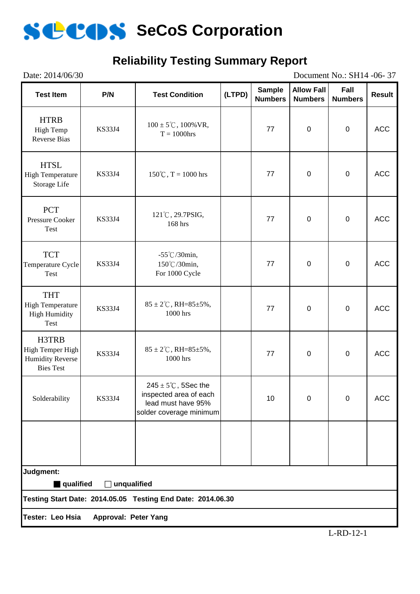

# **Reliability Testing Summary Report**

| Date: 2014/06/30<br>Document No.: SH14 -06-37                                                  |               |                                                                                                            |        |                                 |                                     |                        |               |
|------------------------------------------------------------------------------------------------|---------------|------------------------------------------------------------------------------------------------------------|--------|---------------------------------|-------------------------------------|------------------------|---------------|
| <b>Test Item</b>                                                                               | P/N           | <b>Test Condition</b>                                                                                      | (LTPD) | <b>Sample</b><br><b>Numbers</b> | <b>Allow Fall</b><br><b>Numbers</b> | Fall<br><b>Numbers</b> | <b>Result</b> |
| <b>HTRB</b><br>High Temp<br><b>Reverse Bias</b>                                                | <b>KS33J4</b> | $100 \pm 5^{\circ}$ C, $100\%$ VR,<br>$T = 1000$ hrs                                                       |        | 77                              | $\pmb{0}$                           | $\pmb{0}$              | <b>ACC</b>    |
| <b>HTSL</b><br><b>High Temperature</b><br>Storage Life                                         | <b>KS33J4</b> | $150^{\circ}$ C, T = 1000 hrs                                                                              |        | 77                              | $\pmb{0}$                           | $\pmb{0}$              | <b>ACC</b>    |
| <b>PCT</b><br>Pressure Cooker<br>Test                                                          | <b>KS33J4</b> | 121°C, 29.7PSIG,<br>168 hrs                                                                                |        | 77                              | $\pmb{0}$                           | $\pmb{0}$              | <b>ACC</b>    |
| <b>TCT</b><br>Temperature Cycle<br>Test                                                        | <b>KS33J4</b> | $-55^{\circ}$ C/30min,<br>150°C/30min,<br>For 1000 Cycle                                                   |        | 77                              | $\pmb{0}$                           | $\pmb{0}$              | <b>ACC</b>    |
| <b>THT</b><br><b>High Temperature</b><br><b>High Humidity</b><br>Test                          | <b>KS33J4</b> | $85 \pm 2^{\circ}$ C, RH= $85 \pm 5\%$ ,<br>1000 hrs                                                       |        | 77                              | $\pmb{0}$                           | $\pmb{0}$              | <b>ACC</b>    |
| H3TRB<br>High Temper High<br><b>Humidity Reverse</b><br><b>Bies Test</b>                       | <b>KS33J4</b> | $85 \pm 2^{\circ}$ C, RH= $85 \pm 5\%$ ,<br>1000 hrs                                                       |        | 77                              | $\pmb{0}$                           | $\pmb{0}$              | <b>ACC</b>    |
| Solderability                                                                                  | <b>KS33J4</b> | $245 \pm 5^{\circ}$ C, 5Sec the<br>inspected area of each<br>lead must have 95%<br>solder coverage minimum |        | 10                              | 0                                   | $\Omega$               | <b>ACC</b>    |
|                                                                                                |               |                                                                                                            |        |                                 |                                     |                        |               |
| Judgment:                                                                                      |               |                                                                                                            |        |                                 |                                     |                        |               |
| qualified<br>$\Box$ unqualified<br>Testing Start Date: 2014.05.05 Testing End Date: 2014.06.30 |               |                                                                                                            |        |                                 |                                     |                        |               |
|                                                                                                |               |                                                                                                            |        |                                 |                                     |                        |               |
| Tester: Leo Hsia<br>Approval: Peter Yang                                                       |               |                                                                                                            |        |                                 |                                     |                        |               |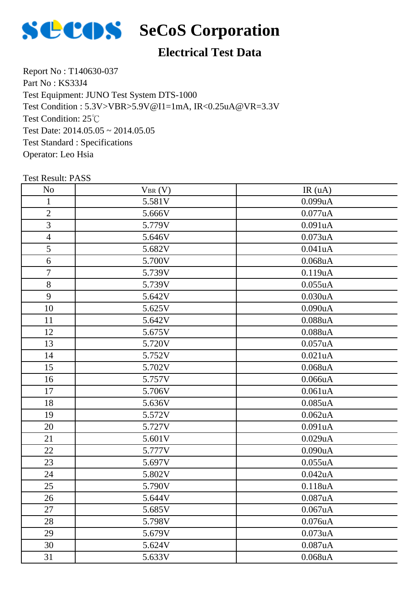

# **Electrical Test Data**

Report No : T140630-037 Part No : KS33J4 Test Equipment: JUNO Test System DTS-1000 Test Condition: 25℃ Test Date: 2014.05.05 ~ 2014.05.05 Test Standard : Specifications Operator: Leo Hsia Test Condition : 5.3V>VBR>5.9V@I1=1mA, IR<0.25uA@VR=3.3V

| N <sub>o</sub>           | $V_{BR}(V)$ | IR(uA)        |
|--------------------------|-------------|---------------|
| $\mathbf{1}$             | 5.581V      | 0.099uA       |
| $\overline{2}$           | 5.666V      | 0.077uA       |
| 3                        | 5.779V      | 0.091uA       |
| $\overline{\mathcal{A}}$ | 5.646V      | 0.073uA       |
| 5                        | 5.682V      | 0.041uA       |
| 6                        | 5.700V      | $0.068$ u $A$ |
| $\tau$                   | 5.739V      | 0.119uA       |
| $8\,$                    | 5.739V      | 0.055uA       |
| 9                        | 5.642V      | 0.030uA       |
| 10                       | 5.625V      | 0.090uA       |
| 11                       | 5.642V      | 0.088uA       |
| 12                       | 5.675V      | 0.088uA       |
| 13                       | 5.720V      | 0.057uA       |
| 14                       | 5.752V      | 0.021uA       |
| 15                       | 5.702V      | $0.068$ u $A$ |
| 16                       | 5.757V      | 0.066uA       |
| 17                       | 5.706V      | 0.061uA       |
| 18                       | 5.636V      | $0.085$ uA    |
| 19                       | 5.572V      | 0.062uA       |
| 20                       | 5.727V      | 0.091uA       |
| 21                       | 5.601V      | 0.029uA       |
| 22                       | 5.777V      | 0.090uA       |
| 23                       | 5.697V      | 0.055uA       |
| 24                       | 5.802V      | 0.042uA       |
| 25                       | 5.790V      | 0.118uA       |
| 26                       | 5.644V      | 0.087uA       |
| 27                       | 5.685V      | 0.067uA       |
| 28                       | 5.798V      | 0.076uA       |
| 29                       | 5.679V      | 0.073uA       |
| 30                       | 5.624V      | 0.087uA       |
| 31                       | 5.633V      | $0.068$ u $A$ |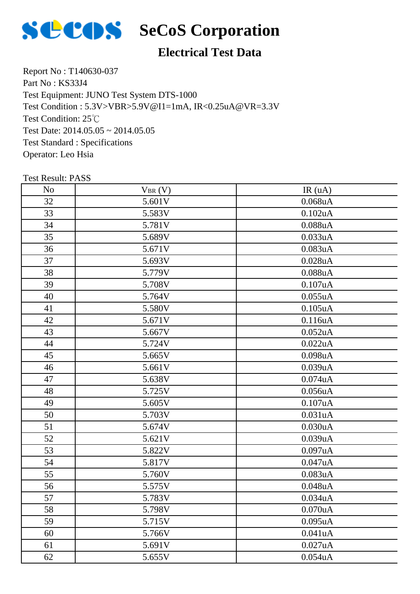

# **SCOS** SeCoS Corporation

### **Electrical Test Data**

Report No : T140630-037 Part No : KS33J4 Test Equipment: JUNO Test System DTS-1000 Test Condition: 25℃ Test Date: 2014.05.05 ~ 2014.05.05 Test Standard : Specifications Operator: Leo Hsia Test Condition : 5.3V>VBR>5.9V@I1=1mA, IR<0.25uA@VR=3.3V

| N <sub>o</sub> | $V_{BR}(V)$ | IR(uA)        |
|----------------|-------------|---------------|
| 32             | 5.601V      | $0.068$ u $A$ |
| 33             | 5.583V      | 0.102uA       |
| 34             | 5.781V      | 0.088uA       |
| 35             | 5.689V      | 0.033uA       |
| 36             | 5.671V      | 0.083uA       |
| 37             | 5.693V      | 0.028uA       |
| 38             | 5.779V      | 0.088uA       |
| 39             | 5.708V      | 0.107uA       |
| 40             | 5.764V      | 0.055uA       |
| 41             | 5.580V      | $0.105$ u $A$ |
| 42             | 5.671V      | 0.116uA       |
| 43             | 5.667V      | 0.052uA       |
| 44             | 5.724V      | 0.022uA       |
| 45             | 5.665V      | 0.098uA       |
| 46             | 5.661V      | 0.039uA       |
| 47             | 5.638V      | $0.074$ u $A$ |
| 48             | 5.725V      | 0.056uA       |
| 49             | 5.605V      | 0.107uA       |
| 50             | 5.703V      | 0.031uA       |
| 51             | 5.674V      | 0.030uA       |
| 52             | 5.621V      | 0.039uA       |
| 53             | 5.822V      | 0.097uA       |
| 54             | 5.817V      | 0.047uA       |
| 55             | 5.760V      | 0.083uA       |
| 56             | 5.575V      | 0.048uA       |
| 57             | 5.783V      | 0.034uA       |
| 58             | 5.798V      | 0.070uA       |
| 59             | 5.715V      | 0.095uA       |
| 60             | 5.766V      | 0.041uA       |
| 61             | 5.691V      | 0.027uA       |
| 62             | 5.655V      | 0.054uA       |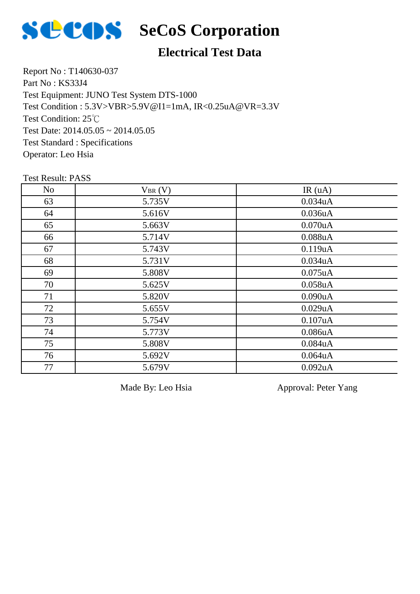

## **Electrical Test Data**

Report No : T140630-037 Part No : KS33J4 Test Equipment: JUNO Test System DTS-1000 Test Condition: 25℃ Test Date: 2014.05.05 ~ 2014.05.05 Test Standard : Specifications Operator: Leo Hsia Test Condition : 5.3V>VBR>5.9V@I1=1mA, IR<0.25uA@VR=3.3V

#### Test Result: PASS

| N <sub>o</sub> | $V_{BR}(V)$ | IR(uA)        |
|----------------|-------------|---------------|
| 63             | 5.735V      | 0.034uA       |
| 64             | 5.616V      | 0.036uA       |
| 65             | 5.663V      | 0.070uA       |
| 66             | 5.714V      | 0.088uA       |
| 67             | 5.743V      | 0.119uA       |
| 68             | 5.731V      | 0.034uA       |
| 69             | 5.808V      | $0.075$ uA    |
| 70             | 5.625V      | $0.058$ u $A$ |
| 71             | 5.820V      | 0.090uA       |
| 72             | 5.655V      | 0.029uA       |
| 73             | 5.754V      | 0.107uA       |
| 74             | 5.773V      | 0.086uA       |
| 75             | 5.808V      | 0.084uA       |
| 76             | 5.692V      | $0.064$ u $A$ |
| 77             | 5.679V      | 0.092uA       |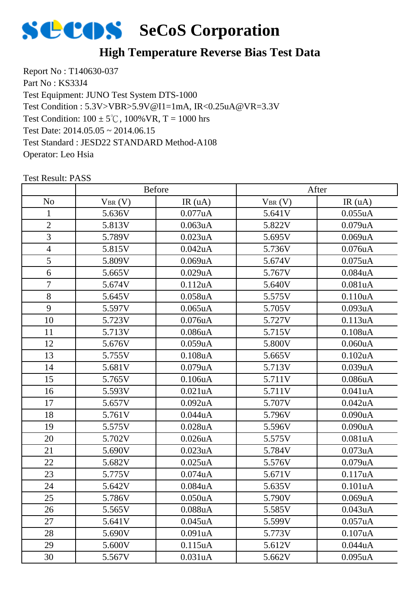

### **High Temperature Reverse Bias Test Data**

Report No : T140630-037 Part No : KS33J4 Test Equipment: JUNO Test System DTS-1000 Test Condition:  $100 \pm 5^{\circ}$ C,  $100\%$  VR, T = 1000 hrs Test Date: 2014.05.05 ~ 2014.06.15 Test Standard : JESD22 STANDARD Method-A108 Operator: Leo Hsia Test Condition : 5.3V>VBR>5.9V@I1=1mA, IR<0.25uA@VR=3.3V

|                |             | <b>Before</b> |             | After      |
|----------------|-------------|---------------|-------------|------------|
| N <sub>o</sub> | $V_{BR}(V)$ | IR(uA)        | $V_{BR}(V)$ | IR(uA)     |
| 1              | 5.636V      | 0.077uA       | 5.641V      | 0.055uA    |
| $\overline{2}$ | 5.813V      | 0.063uA       | 5.822V      | 0.079uA    |
| 3              | 5.789V      | 0.023uA       | 5.695V      | 0.069uA    |
| $\overline{4}$ | 5.815V      | 0.042uA       | 5.736V      | 0.076uA    |
| 5              | 5.809V      | 0.069uA       | 5.674V      | $0.075$ uA |
| 6              | 5.665V      | 0.029uA       | 5.767V      | 0.084uA    |
| $\tau$         | 5.674V      | 0.112uA       | 5.640V      | 0.081uA    |
| 8              | 5.645V      | $0.058$ u $A$ | 5.575V      | 0.110uA    |
| 9              | 5.597V      | $0.065$ uA    | 5.705V      | 0.093uA    |
| 10             | 5.723V      | $0.076$ u $A$ | 5.727V      | 0.113uA    |
| 11             | 5.713V      | 0.086uA       | 5.715V      | 0.108uA    |
| 12             | 5.676V      | 0.059uA       | 5.800V      | 0.060uA    |
| 13             | 5.755V      | 0.108uA       | 5.665V      | 0.102uA    |
| 14             | 5.681V      | 0.079uA       | 5.713V      | 0.039uA    |
| 15             | 5.765V      | 0.106uA       | 5.711V      | 0.086uA    |
| 16             | 5.593V      | 0.021uA       | 5.711V      | 0.041uA    |
| 17             | 5.657V      | 0.092uA       | 5.707V      | 0.042uA    |
| 18             | 5.761V      | 0.044uA       | 5.796V      | 0.090uA    |
| 19             | 5.575V      | 0.028uA       | 5.596V      | 0.090uA    |
| 20             | 5.702V      | $0.026$ u $A$ | 5.575V      | 0.081uA    |
| 21             | 5.690V      | 0.023uA       | 5.784V      | 0.073uA    |
| 22             | 5.682V      | $0.025$ uA    | 5.576V      | 0.079uA    |
| 23             | 5.775V      | 0.074uA       | 5.671V      | 0.117uA    |
| 24             | 5.642V      | 0.084uA       | 5.635V      | 0.101uA    |
| 25             | 5.786V      | 0.050uA       | 5.790V      | 0.069uA    |
| 26             | 5.565V      | 0.088uA       | 5.585V      | 0.043uA    |
| 27             | 5.641V      | 0.045uA       | 5.599V      | 0.057uA    |
| 28             | 5.690V      | 0.091uA       | 5.773V      | 0.107uA    |
| 29             | 5.600V      | 0.115uA       | 5.612V      | 0.044uA    |
| 30             | 5.567V      | 0.031uA       | 5.662V      | $0.095$ uA |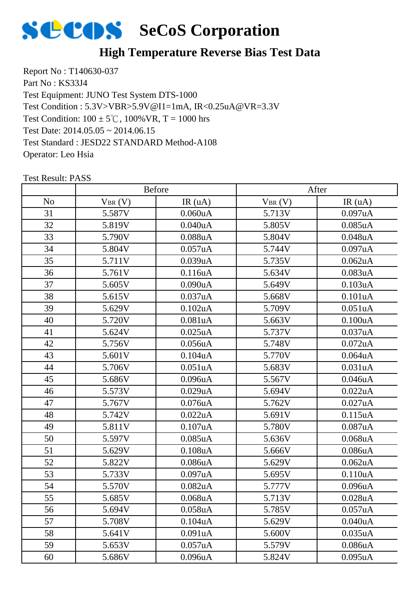

### **High Temperature Reverse Bias Test Data**

Report No : T140630-037 Part No : KS33J4 Test Equipment: JUNO Test System DTS-1000 Test Condition:  $100 \pm 5^{\circ}$ C,  $100\%$  VR, T = 1000 hrs Test Date: 2014.05.05 ~ 2014.06.15 Test Standard : JESD22 STANDARD Method-A108 Operator: Leo Hsia Test Condition : 5.3V>VBR>5.9V@I1=1mA, IR<0.25uA@VR=3.3V

|                |             | <b>Before</b>        |             | After      |
|----------------|-------------|----------------------|-------------|------------|
| N <sub>o</sub> | $V_{BR}(V)$ | IR(uA)               | $V_{BR}(V)$ | IR(uA)     |
| 31             | 5.587V      | 0.060uA              | 5.713V      | 0.097uA    |
| 32             | 5.819V      | 0.040uA              | 5.805V      | $0.085$ uA |
| 33             | 5.790V      | 0.088uA              | 5.804V      | 0.048uA    |
| 34             | 5.804V      | 0.057uA              | 5.744V      | 0.097uA    |
| 35             | 5.711V      | 0.039uA              | 5.735V      | 0.062uA    |
| 36             | 5.761V      | 0.116uA              | 5.634V      | 0.083uA    |
| 37             | 5.605V      | 0.090uA              | 5.649V      | 0.103uA    |
| 38             | 5.615V      | 0.037uA              | 5.668V      | 0.101uA    |
| 39             | 5.629V      | 0.102uA              | 5.709V      | 0.051uA    |
| 40             | 5.720V      | 0.081uA              | 5.663V      | 0.100uA    |
| 41             | 5.624V      | $0.025$ uA           | 5.737V      | 0.037uA    |
| 42             | 5.756V      | $0.056$ uA           | 5.748V      | $0.072$ uA |
| 43             | 5.601V      | 0.104uA              | 5.770V      | 0.064uA    |
| 44             | 5.706V      | 0.051uA              | 5.683V      | 0.031uA    |
| 45             | 5.686V      | 0.096uA              | 5.567V      | 0.046uA    |
| 46             | 5.573V      | 0.029uA              | 5.694V      | 0.022uA    |
| 47             | 5.767V      | $0.076$ u $A$        | 5.762V      | 0.027uA    |
| 48             | 5.742V      | 0.022uA              | 5.691V      | 0.115uA    |
| 49             | 5.811V      | 0.107uA              | 5.780V      | 0.087uA    |
| 50             | 5.597V      | $0.085$ uA           | 5.636V      | $0.068$ uA |
| 51             | 5.629V      | $0.108$ u $A$        | 5.666V      | 0.086uA    |
| 52             | 5.822V      | $0.086$ u $A$        | 5.629V      | $0.062$ uA |
| 53             | 5.733V      | 0.097uA              | 5.695V      | 0.110uA    |
| 54             | 5.570V      | 0.082uA              | 5.777V      | 0.096uA    |
| 55             | 5.685V      | 0.068uA              | 5.713V      | 0.028uA    |
| 56             | 5.694V      | 0.058 <sub>u</sub> A | 5.785V      | 0.057uA    |
| 57             | 5.708V      | $0.104$ uA           | 5.629V      | 0.040uA    |
| 58             | 5.641V      | 0.091uA              | 5.600V      | 0.035uA    |
| 59             | 5.653V      | 0.057uA              | 5.579V      | 0.086uA    |
| 60             | 5.686V      | 0.096uA              | 5.824V      | 0.095uA    |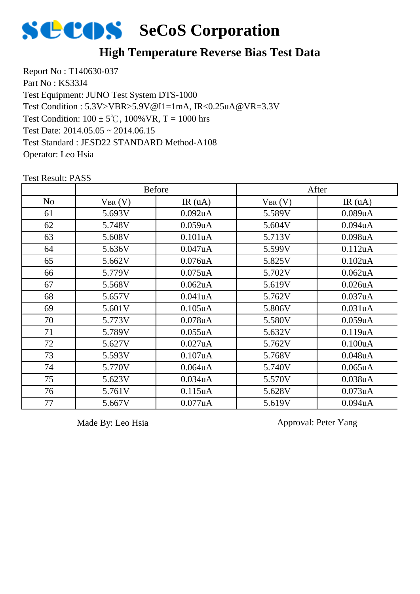

#### **High Temperature Reverse Bias Test Data**

Report No : T140630-037 Part No : KS33J4 Test Equipment: JUNO Test System DTS-1000 Test Condition:  $100 \pm 5^{\circ}$ C,  $100\%$  VR, T = 1000 hrs Test Date: 2014.05.05 ~ 2014.06.15 Test Standard : JESD22 STANDARD Method-A108 Operator: Leo Hsia Test Condition : 5.3V>VBR>5.9V@I1=1mA, IR<0.25uA@VR=3.3V

No  $V_{BR}(V)$  IR (uA)  $V_{BR}(V)$  IR (uA) Before After 5.693V 0.092uA 5.589V 0.089uA 5.748V 0.059uA 5.604V 0.094uA 63 | 5.608V | 0.101uA | 5.713V | 0.098uA 5.636V 0.047uA 5.599V 0.112uA 5.662V 0.076uA 5.825V 0.102uA 5.779V 0.075uA 5.702V 0.062uA 5.568V 0.062uA 5.619V 0.026uA 5.657V 0.041uA 5.762V 0.037uA 5.601V 0.105uA 5.806V 0.031uA 5.773V 0.078uA 5.580V 0.059uA 5.789V 0.055uA 5.632V 0.119uA 5.627V 0.027uA 5.762V 0.100uA 5.593V 0.107uA 5.768V 0.048uA 5.770V 0.064uA 5.740V 0.065uA 5.623V 0.034uA 5.570V 0.038uA 5.761V 0.115uA 5.628V 0.073uA 5.667V 0.077uA 5.619V 0.094uA

Test Result: PASS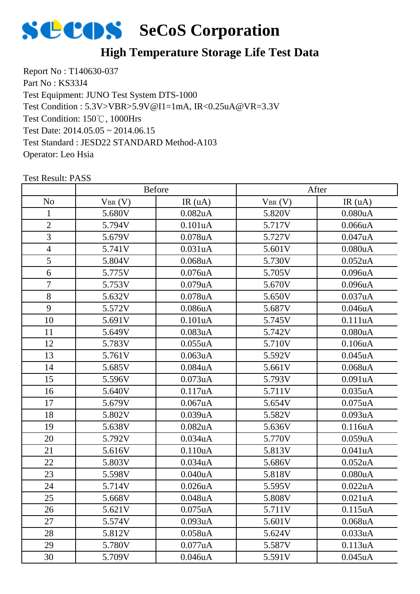

# **High Temperature Storage Life Test Data**

Report No : T140630-037 Part No : KS33J4 Test Equipment: JUNO Test System DTS-1000 Test Condition: 150℃, 1000Hrs Test Date: 2014.05.05 ~ 2014.06.15 Test Standard : JESD22 STANDARD Method-A103 Operator: Leo Hsia Test Condition : 5.3V>VBR>5.9V@I1=1mA, IR<0.25uA@VR=3.3V

|                | <b>Before</b> |                      | After       |                      |  |
|----------------|---------------|----------------------|-------------|----------------------|--|
| N <sub>o</sub> | $V_{BR}(V)$   | IR(uA)               | $V_{BR}(V)$ | IR(uA)               |  |
| $\mathbf{1}$   | 5.680V        | 0.082 <sub>u</sub> A | 5.820V      | 0.080uA              |  |
| $\overline{2}$ | 5.794V        | 0.101uA              | 5.717V      | 0.066uA              |  |
| 3              | 5.679V        | $0.078$ u $A$        | 5.727V      | 0.047uA              |  |
| $\overline{4}$ | 5.741V        | 0.031uA              | 5.601V      | 0.080uA              |  |
| 5              | 5.804V        | $0.068$ u $A$        | 5.730V      | 0.052uA              |  |
| 6              | 5.775V        | $0.076$ uA           | 5.705V      | 0.096uA              |  |
| $\tau$         | 5.753V        | $0.079$ uA           | 5.670V      | 0.096uA              |  |
| 8              | 5.632V        | $0.078$ u $A$        | 5.650V      | 0.037uA              |  |
| 9              | 5.572V        | 0.086uA              | 5.687V      | 0.046uA              |  |
| 10             | 5.691V        | 0.101uA              | 5.745V      | 0.111uA              |  |
| 11             | 5.649V        | 0.083uA              | 5.742V      | 0.080uA              |  |
| 12             | 5.783V        | 0.055uA              | 5.710V      | 0.106uA              |  |
| 13             | 5.761V        | 0.063uA              | 5.592V      | $0.045$ uA           |  |
| 14             | 5.685V        | 0.084uA              | 5.661V      | $0.068$ u $A$        |  |
| 15             | 5.596V        | $0.073$ uA           | 5.793V      | 0.091uA              |  |
| 16             | 5.640V        | 0.117uA              | 5.711V      | $0.035$ uA           |  |
| 17             | 5.679V        | $0.067$ uA           | 5.654V      | $0.075$ uA           |  |
| 18             | 5.802V        | 0.039uA              | 5.582V      | 0.093uA              |  |
| 19             | 5.638V        | $0.082$ uA           | 5.636V      | 0.116uA              |  |
| 20             | 5.792V        | 0.034uA              | 5.770V      | 0.059uA              |  |
| 21             | 5.616V        | 0.110uA              | 5.813V      | 0.041uA              |  |
| 22             | 5.803V        | 0.034uA              | 5.686V      | 0.052uA              |  |
| 23             | 5.598V        | 0.040uA              | 5.818V      | 0.080uA              |  |
| 24             | 5.714V        | $0.026$ u $A$        | 5.595V      | 0.022uA              |  |
| 25             | 5.668V        | 0.048uA              | 5.808V      | 0.021uA              |  |
| 26             | 5.621V        | $0.075$ uA           | 5.711V      | 0.115 <sub>u</sub> A |  |
| 27             | 5.574V        | 0.093uA              | 5.601V      | $0.068$ u $A$        |  |
| 28             | 5.812V        | $0.058$ u $A$        | 5.624V      | 0.033uA              |  |
| 29             | 5.780V        | $0.077$ uA           | 5.587V      | 0.113uA              |  |
| 30             | 5.709V        | 0.046 <sub>u</sub> A | 5.591V      | $0.045$ uA           |  |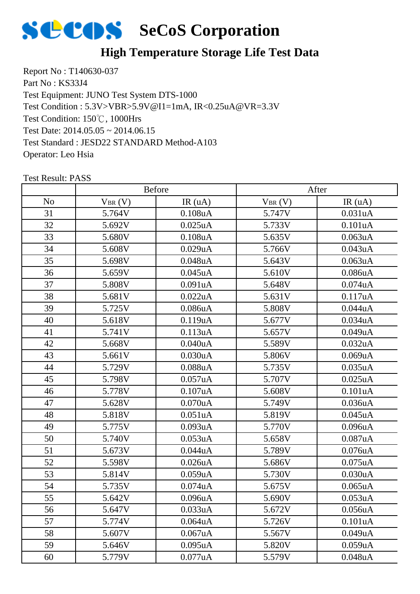

# **High Temperature Storage Life Test Data**

Report No : T140630-037 Part No : KS33J4 Test Equipment: JUNO Test System DTS-1000 Test Condition: 150℃, 1000Hrs Test Date: 2014.05.05 ~ 2014.06.15 Test Standard : JESD22 STANDARD Method-A103 Operator: Leo Hsia Test Condition : 5.3V>VBR>5.9V@I1=1mA, IR<0.25uA@VR=3.3V

|                |             | <b>Before</b> |             | After                |
|----------------|-------------|---------------|-------------|----------------------|
| N <sub>o</sub> | $V_{BR}(V)$ | IR(uA)        | $V_{BR}(V)$ | IR(uA)               |
| 31             | 5.764V      | $0.108$ u $A$ | 5.747V      | 0.031uA              |
| 32             | 5.692V      | $0.025$ uA    | 5.733V      | 0.101uA              |
| 33             | 5.680V      | $0.108$ u $A$ | 5.635V      | 0.063uA              |
| 34             | 5.608V      | 0.029uA       | 5.766V      | 0.043uA              |
| 35             | 5.698V      | $0.048$ u $A$ | 5.643V      | $0.063$ uA           |
| 36             | 5.659V      | $0.045$ uA    | 5.610V      | 0.086uA              |
| 37             | 5.808V      | 0.091uA       | 5.648V      | 0.074uA              |
| 38             | 5.681V      | 0.022uA       | 5.631V      | 0.117uA              |
| 39             | 5.725V      | $0.086$ u $A$ | 5.808V      | 0.044uA              |
| 40             | 5.618V      | 0.119uA       | 5.677V      | 0.034uA              |
| 41             | 5.741V      | 0.113uA       | 5.657V      | 0.049uA              |
| 42             | 5.668V      | 0.040uA       | 5.589V      | 0.032uA              |
| 43             | 5.661V      | 0.030uA       | 5.806V      | 0.069uA              |
| 44             | 5.729V      | $0.088$ uA    | 5.735V      | 0.035uA              |
| 45             | 5.798V      | $0.057$ uA    | 5.707V      | $0.025$ uA           |
| 46             | 5.778V      | 0.107uA       | 5.608V      | 0.101uA              |
| 47             | 5.628V      | $0.070$ u $A$ | 5.749V      | 0.036uA              |
| 48             | 5.818V      | 0.051uA       | 5.819V      | $0.045$ uA           |
| 49             | 5.775V      | 0.093uA       | 5.770V      | 0.096uA              |
| 50             | 5.740V      | $0.053$ uA    | 5.658V      | 0.087uA              |
| 51             | 5.673V      | 0.044uA       | 5.789V      | $0.076$ u $A$        |
| 52             | 5.598V      | $0.026$ u $A$ | 5.686V      | $0.075$ uA           |
| 53             | 5.814V      | 0.059uA       | 5.730V      | 0.030uA              |
| 54             | 5.735V      | $0.074$ u $A$ | 5.675V      | $0.065$ uA           |
| 55             | 5.642V      | $0.096$ u $A$ | 5.690V      | $0.053$ uA           |
| 56             | 5.647V      | 0.033uA       | 5.672V      | 0.056 <sub>u</sub> A |
| 57             | 5.774V      | $0.064$ u $A$ | 5.726V      | 0.101uA              |
| 58             | 5.607V      | 0.067uA       | 5.567V      | 0.049uA              |
| 59             | 5.646V      | $0.095$ uA    | 5.820V      | 0.059uA              |
| 60             | 5.779V      | 0.077uA       | 5.579V      | 0.048uA              |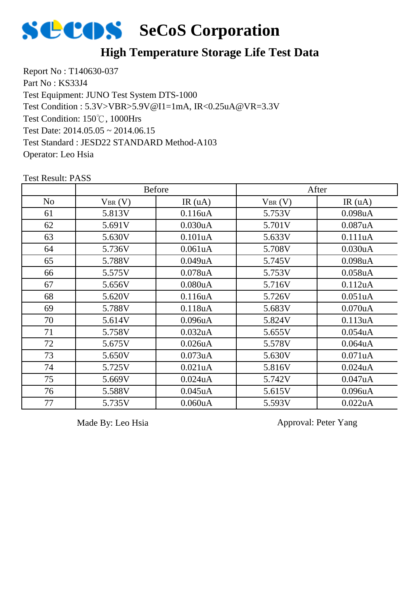

#### **High Temperature Storage Life Test Data**

Report No : T140630-037 Part No : KS33J4 Test Equipment: JUNO Test System DTS-1000 Test Condition: 150℃, 1000Hrs Test Date: 2014.05.05 ~ 2014.06.15 Test Standard : JESD22 STANDARD Method-A103 Operator: Leo Hsia Test Condition : 5.3V>VBR>5.9V@I1=1mA, IR<0.25uA@VR=3.3V

|                |             | <b>Before</b>        |             | After                |
|----------------|-------------|----------------------|-------------|----------------------|
| N <sub>o</sub> | $V_{BR}(V)$ | IR(uA)               | $V_{BR}(V)$ | IR(uA)               |
| 61             | 5.813V      | 0.116uA              | 5.753V      | 0.098uA              |
| 62             | 5.691V      | 0.030 <sub>u</sub> A | 5.701V      | 0.087uA              |
| 63             | 5.630V      | 0.101uA              | 5.633V      | 0.111uA              |
| 64             | 5.736V      | 0.061uA              | 5.708V      | 0.030uA              |
| 65             | 5.788V      | 0.049uA              | 5.745V      | $0.098$ u $A$        |
| 66             | 5.575V      | $0.078$ u $A$        | 5.753V      | $0.058$ uA           |
| 67             | 5.656V      | 0.080 <sub>u</sub> A | 5.716V      | 0.112uA              |
| 68             | 5.620V      | 0.116uA              | 5.726V      | 0.051uA              |
| 69             | 5.788V      | 0.118uA              | 5.683V      | $0.070$ uA           |
| 70             | 5.614V      | 0.096uA              | 5.824V      | 0.113uA              |
| 71             | 5.758V      | 0.032 <sub>u</sub> A | 5.655V      | 0.054 <sub>u</sub> A |
| 72             | 5.675V      | $0.026$ u $A$        | 5.578V      | $0.064$ uA           |
| 73             | 5.650V      | 0.073uA              | 5.630V      | 0.071uA              |
| 74             | 5.725V      | 0.021uA              | 5.816V      | $0.024$ uA           |
| 75             | 5.669V      | $0.024$ uA           | 5.742V      | 0.047uA              |
| 76             | 5.588V      | $0.045$ uA           | 5.615V      | 0.096uA              |
| 77             | 5.735V      | 0.060uA              | 5.593V      | 0.022uA              |

Test Result: PASS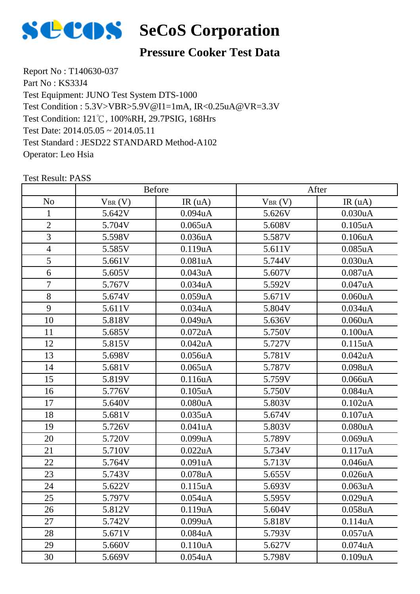

# **Pressure Cooker Test Data**

Report No : T140630-037 Part No: KS33J4 Test Equipment: JUNO Test System DTS-1000 Test Condition: 121℃, 100%RH, 29.7PSIG, 168Hrs Test Date: 2014.05.05 ~ 2014.05.11 Test Standard : JESD22 STANDARD Method-A102 Operator: Leo Hsia Test Condition : 5.3V>VBR>5.9V@I1=1mA, IR<0.25uA@VR=3.3V

|                | <b>Before</b> |               | After       |                      |
|----------------|---------------|---------------|-------------|----------------------|
| N <sub>o</sub> | $V_{BR}(V)$   | IR(uA)        | $V_{BR}(V)$ | IR(uA)               |
| 1              | 5.642V        | $0.094$ u $A$ | 5.626V      | 0.030uA              |
| $\overline{2}$ | 5.704V        | $0.065$ uA    | 5.608V      | $0.105$ u $A$        |
| 3              | 5.598V        | 0.036uA       | 5.587V      | 0.106uA              |
| $\overline{4}$ | 5.585V        | 0.119uA       | 5.611V      | 0.085uA              |
| 5              | 5.661V        | 0.081uA       | 5.744V      | 0.030uA              |
| 6              | 5.605V        | 0.043uA       | 5.607V      | 0.087uA              |
| $\tau$         | 5.767V        | 0.034uA       | 5.592V      | 0.047uA              |
| 8              | 5.674V        | 0.059uA       | 5.671V      | 0.060uA              |
| 9              | 5.611V        | 0.034uA       | 5.804V      | 0.034uA              |
| 10             | 5.818V        | 0.049uA       | 5.636V      | 0.060uA              |
| 11             | 5.685V        | $0.072$ uA    | 5.750V      | 0.100uA              |
| 12             | 5.815V        | $0.042$ uA    | 5.727V      | 0.115uA              |
| 13             | 5.698V        | 0.056uA       | 5.781V      | 0.042uA              |
| 14             | 5.681V        | $0.065$ uA    | 5.787V      | 0.098uA              |
| 15             | 5.819V        | 0.116uA       | 5.759V      | 0.066uA              |
| 16             | 5.776V        | $0.105$ uA    | 5.750V      | 0.084uA              |
| 17             | 5.640V        | 0.080uA       | 5.803V      | 0.102uA              |
| 18             | 5.681V        | $0.035$ uA    | 5.674V      | 0.107uA              |
| 19             | 5.726V        | 0.041uA       | 5.803V      | 0.080uA              |
| 20             | 5.720V        | 0.099uA       | 5.789V      | 0.069uA              |
| 21             | 5.710V        | 0.022uA       | 5.734V      | 0.117uA              |
| 22             | 5.764V        | 0.091uA       | 5.713V      | 0.046uA              |
| 23             | 5.743V        | $0.078$ u $A$ | 5.655V      | 0.026uA              |
| 24             | 5.622V        | 0.115uA       | 5.693V      | 0.063uA              |
| 25             | 5.797V        | $0.054$ uA    | 5.595V      | 0.029uA              |
| 26             | 5.812V        | 0.119uA       | 5.604V      | 0.058 <sub>u</sub> A |
| 27             | 5.742V        | 0.099uA       | 5.818V      | 0.114uA              |
| 28             | 5.671V        | 0.084uA       | 5.793V      | 0.057uA              |
| 29             | 5.660V        | 0.110uA       | 5.627V      | $0.074$ u $A$        |
| 30             | 5.669V        | $0.054$ u $A$ | 5.798V      | 0.109uA              |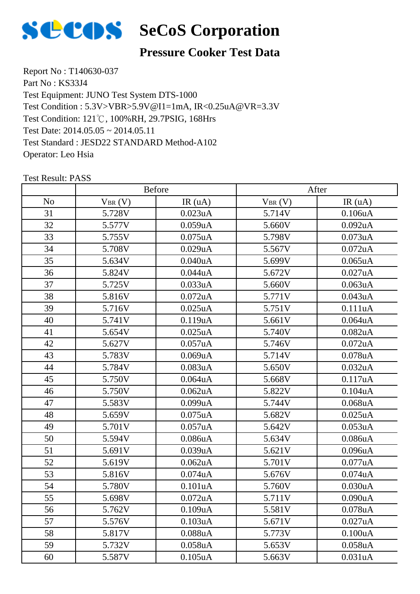

#### **Pressure Cooker Test Data**

Report No : T140630-037 Part No : KS33J4 Test Equipment: JUNO Test System DTS-1000 Test Condition: 121℃, 100%RH, 29.7PSIG, 168Hrs Test Date: 2014.05.05 ~ 2014.05.11 Test Standard : JESD22 STANDARD Method-A102 Operator: Leo Hsia Test Condition : 5.3V>VBR>5.9V@I1=1mA, IR<0.25uA@VR=3.3V

|                |             | <b>Before</b> |             | After                |  |
|----------------|-------------|---------------|-------------|----------------------|--|
| N <sub>o</sub> | $V_{BR}(V)$ | IR(uA)        | $V_{BR}(V)$ | IR(uA)               |  |
| 31             | 5.728V      | $0.023$ uA    | 5.714V      | 0.106uA              |  |
| 32             | 5.577V      | 0.059uA       | 5.660V      | 0.092uA              |  |
| 33             | 5.755V      | $0.075$ uA    | 5.798V      | 0.073uA              |  |
| 34             | 5.708V      | 0.029uA       | 5.567V      | 0.072uA              |  |
| 35             | 5.634V      | 0.040uA       | 5.699V      | $0.065$ uA           |  |
| 36             | 5.824V      | 0.044uA       | 5.672V      | 0.027uA              |  |
| 37             | 5.725V      | 0.033uA       | 5.660V      | 0.063uA              |  |
| 38             | 5.816V      | $0.072$ uA    | 5.771V      | 0.043uA              |  |
| 39             | 5.716V      | $0.025$ uA    | 5.751V      | 0.111uA              |  |
| 40             | 5.741V      | 0.119uA       | 5.661V      | 0.064uA              |  |
| 41             | 5.654V      | $0.025$ uA    | 5.740V      | $0.082$ uA           |  |
| 42             | 5.627V      | 0.057uA       | 5.746V      | $0.072$ uA           |  |
| 43             | 5.783V      | 0.069uA       | 5.714V      | 0.078uA              |  |
| 44             | 5.784V      | 0.083uA       | 5.650V      | 0.032uA              |  |
| 45             | 5.750V      | $0.064$ uA    | 5.668V      | 0.117uA              |  |
| 46             | 5.750V      | $0.062$ uA    | 5.822V      | 0.104uA              |  |
| 47             | 5.583V      | 0.099uA       | 5.744V      | $0.068$ u $A$        |  |
| 48             | 5.659V      | $0.075$ uA    | 5.682V      | $0.025$ uA           |  |
| 49             | 5.701V      | 0.057uA       | 5.642V      | 0.053uA              |  |
| 50             | 5.594V      | $0.086$ u $A$ | 5.634V      | 0.086uA              |  |
| 51             | 5.691V      | 0.039uA       | 5.621V      | 0.096uA              |  |
| 52             | 5.619V      | $0.062$ uA    | 5.701V      | 0.077uA              |  |
| 53             | 5.816V      | $0.074$ u $A$ | 5.676V      | 0.074uA              |  |
| 54             | 5.780V      | 0.101uA       | 5.760V      | 0.030uA              |  |
| 55             | 5.698V      | $0.072$ uA    | 5.711V      | 0.090uA              |  |
| 56             | 5.762V      | 0.109uA       | 5.581V      | 0.078 <sub>u</sub> A |  |
| 57             | 5.576V      | 0.103uA       | 5.671V      | 0.027uA              |  |
| 58             | 5.817V      | 0.088uA       | 5.773V      | 0.100uA              |  |
| 59             | 5.732V      | $0.058$ u $A$ | 5.653V      | 0.058uA              |  |
| 60             | 5.587V      | $0.105$ uA    | 5.663V      | 0.031uA              |  |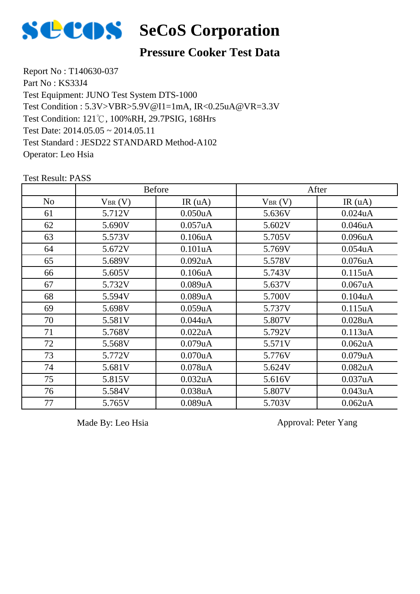

# **SCOS** SeCoS Corporation

#### **Pressure Cooker Test Data**

Report No : T140630-037 Part No : KS33J4 Test Equipment: JUNO Test System DTS-1000 Test Condition: 121℃, 100%RH, 29.7PSIG, 168Hrs Test Date: 2014.05.05 ~ 2014.05.11 Test Standard : JESD22 STANDARD Method-A102 Operator: Leo Hsia Test Condition : 5.3V>VBR>5.9V@I1=1mA, IR<0.25uA@VR=3.3V

|                |             | <b>Before</b>        | After       |                      |
|----------------|-------------|----------------------|-------------|----------------------|
| N <sub>o</sub> | $V_{BR}(V)$ | IR(uA)               | $V_{BR}(V)$ | IR(uA)               |
| 61             | 5.712V      | 0.050uA              | 5.636V      | $0.024$ u $A$        |
| 62             | 5.690V      | 0.057uA              | 5.602V      | 0.046uA              |
| 63             | 5.573V      | 0.106uA              | 5.705V      | 0.096uA              |
| 64             | 5.672V      | 0.101uA              | 5.769V      | 0.054 <sub>u</sub> A |
| 65             | 5.689V      | $0.092$ uA           | 5.578V      | $0.076$ u $A$        |
| 66             | 5.605V      | 0.106uA              | 5.743V      | $0.115$ uA           |
| 67             | 5.732V      | 0.089uA              | 5.637V      | $0.067$ uA           |
| 68             | 5.594V      | 0.089uA              | 5.700V      | 0.104 <sub>u</sub> A |
| 69             | 5.698V      | 0.059uA              | 5.737V      | 0.115uA              |
| 70             | 5.581V      | 0.044uA              | 5.807V      | $0.028$ u $A$        |
| 71             | 5.768V      | 0.022uA              | 5.792V      | 0.113uA              |
| 72             | 5.568V      | 0.079uA              | 5.571V      | $0.062$ uA           |
| 73             | 5.772V      | 0.070 <sub>u</sub> A | 5.776V      | 0.079uA              |
| 74             | 5.681V      | $0.078$ u $A$        | 5.624V      | 0.082 <sub>u</sub> A |
| 75             | 5.815V      | 0.032uA              | 5.616V      | 0.037uA              |
| 76             | 5.584V      | 0.038uA              | 5.807V      | 0.043uA              |
| 77             | 5.765V      | 0.089uA              | 5.703V      | $0.062$ uA           |

Test Result: PASS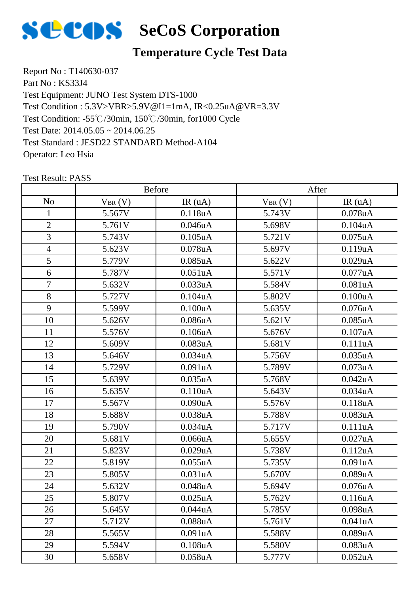

# **Temperature Cycle Test Data**

Report No : T140630-037 Part No: KS33J4 Test Equipment: JUNO Test System DTS-1000 Test Condition: -55℃/30min, 150℃/30min, for1000 Cycle Test Date: 2014.05.05 ~ 2014.06.25 Test Standard : JESD22 STANDARD Method-A104 Operator: Leo Hsia Test Condition : 5.3V>VBR>5.9V@I1=1mA, IR<0.25uA@VR=3.3V

|                | <b>Before</b> |               | After       |                      |
|----------------|---------------|---------------|-------------|----------------------|
| N <sub>o</sub> | $V_{BR}(V)$   | IR(uA)        | $V_{BR}(V)$ | IR(uA)               |
| 1              | 5.567V        | 0.118uA       | 5.743V      | 0.078uA              |
| $\sqrt{2}$     | 5.761V        | 0.046uA       | 5.698V      | 0.104uA              |
| 3              | 5.743V        | $0.105$ uA    | 5.721V      | $0.075$ uA           |
| $\overline{4}$ | 5.623V        | $0.078$ u $A$ | 5.697V      | 0.119uA              |
| 5              | 5.779V        | $0.085$ uA    | 5.622V      | 0.029uA              |
| 6              | 5.787V        | 0.051uA       | 5.571V      | $0.077$ uA           |
| $\tau$         | 5.632V        | 0.033uA       | 5.584V      | 0.081uA              |
| 8              | 5.727V        | $0.104$ u $A$ | 5.802V      | 0.100uA              |
| 9              | 5.599V        | 0.100uA       | 5.635V      | $0.076$ u $A$        |
| 10             | 5.626V        | $0.086$ u $A$ | 5.621V      | $0.085$ uA           |
| 11             | 5.576V        | 0.106uA       | 5.676V      | 0.107uA              |
| 12             | 5.609V        | 0.083uA       | 5.681V      | 0.111uA              |
| 13             | 5.646V        | 0.034uA       | 5.756V      | 0.035uA              |
| 14             | 5.729V        | 0.091uA       | 5.789V      | 0.073uA              |
| 15             | 5.639V        | $0.035$ uA    | 5.768V      | $0.042$ uA           |
| 16             | 5.635V        | 0.110uA       | 5.643V      | 0.034 <sub>u</sub> A |
| 17             | 5.567V        | 0.090uA       | 5.576V      | 0.118uA              |
| 18             | 5.688V        | 0.038uA       | 5.788V      | 0.083uA              |
| 19             | 5.790V        | 0.034uA       | 5.717V      | 0.111uA              |
| 20             | 5.681V        | 0.066uA       | 5.655V      | 0.027uA              |
| 21             | 5.823V        | 0.029uA       | 5.738V      | 0.112uA              |
| 22             | 5.819V        | 0.055uA       | 5.735V      | 0.091uA              |
| 23             | 5.805V        | 0.031uA       | 5.670V      | 0.089uA              |
| 24             | 5.632V        | $0.048$ u $A$ | 5.694V      | $0.076$ u $A$        |
| 25             | 5.807V        | $0.025$ uA    | 5.762V      | 0.116uA              |
| 26             | 5.645V        | 0.044uA       | 5.785V      | 0.098 <sub>u</sub> A |
| 27             | 5.712V        | $0.088$ u $A$ | 5.761V      | 0.041uA              |
| 28             | 5.565V        | 0.091uA       | 5.588V      | 0.089uA              |
| 29             | 5.594V        | 0.108uA       | 5.580V      | 0.083uA              |
| 30             | 5.658V        | $0.058$ u $A$ | 5.777V      | $0.052$ uA           |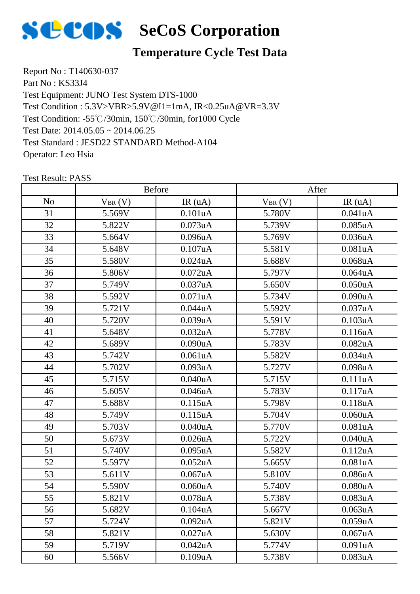

# **Temperature Cycle Test Data**

Report No : T140630-037 Part No: KS33J4 Test Equipment: JUNO Test System DTS-1000 Test Condition: -55℃/30min, 150℃/30min, for1000 Cycle Test Date: 2014.05.05 ~ 2014.06.25 Test Standard : JESD22 STANDARD Method-A104 Operator: Leo Hsia Test Condition : 5.3V>VBR>5.9V@I1=1mA, IR<0.25uA@VR=3.3V

|                | <b>Before</b> |                      | After       |                      |
|----------------|---------------|----------------------|-------------|----------------------|
| N <sub>o</sub> | $V_{BR}(V)$   | IR(uA)               | $V_{BR}(V)$ | IR(uA)               |
| 31             | 5.569V        | 0.101uA              | 5.780V      | 0.041uA              |
| 32             | 5.822V        | $0.073$ uA           | 5.739V      | $0.085$ uA           |
| 33             | 5.664V        | 0.096uA              | 5.769V      | 0.036uA              |
| 34             | 5.648V        | 0.107uA              | 5.581V      | 0.081uA              |
| 35             | 5.580V        | $0.024$ uA           | 5.688V      | $0.068$ u $A$        |
| 36             | 5.806V        | $0.072$ uA           | 5.797V      | $0.064$ u $A$        |
| 37             | 5.749V        | 0.037uA              | 5.650V      | 0.050uA              |
| 38             | 5.592V        | 0.071uA              | 5.734V      | 0.090uA              |
| 39             | 5.721V        | 0.044uA              | 5.592V      | 0.037uA              |
| 40             | 5.720V        | 0.039uA              | 5.591V      | 0.103uA              |
| 41             | 5.648V        | 0.032 <sub>u</sub> A | 5.778V      | 0.116uA              |
| 42             | 5.689V        | 0.090uA              | 5.783V      | 0.082uA              |
| 43             | 5.742V        | 0.061uA              | 5.582V      | 0.034uA              |
| 44             | 5.702V        | 0.093uA              | 5.727V      | 0.098uA              |
| 45             | 5.715V        | $0.040$ uA           | 5.715V      | 0.111uA              |
| 46             | 5.605V        | $0.046$ u $A$        | 5.783V      | 0.117uA              |
| 47             | 5.688V        | 0.115uA              | 5.798V      | 0.118uA              |
| 48             | 5.749V        | 0.115uA              | 5.704V      | 0.060uA              |
| 49             | 5.703V        | 0.040uA              | 5.770V      | 0.081uA              |
| 50             | 5.673V        | $0.026$ uA           | 5.722V      | 0.040uA              |
| 51             | 5.740V        | $0.095$ uA           | 5.582V      | 0.112uA              |
| 52             | 5.597V        | $0.052$ uA           | 5.665V      | 0.081uA              |
| 53             | 5.611V        | 0.067uA              | 5.810V      | 0.086uA              |
| 54             | 5.590V        | 0.060uA              | 5.740V      | 0.080uA              |
| 55             | 5.821V        | 0.078uA              | 5.738V      | 0.083uA              |
| 56             | 5.682V        | 0.104 <sub>u</sub> A | 5.667V      | 0.063 <sub>u</sub> A |
| 57             | 5.724V        | $0.092$ uA           | 5.821V      | 0.059uA              |
| 58             | 5.821V        | 0.027uA              | 5.630V      | 0.067uA              |
| 59             | 5.719V        | $0.042$ uA           | 5.774V      | 0.091uA              |
| 60             | 5.566V        | 0.109uA              | 5.738V      | 0.083uA              |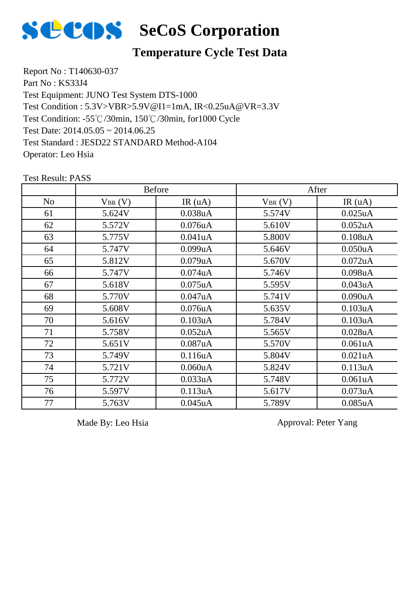

# **SCOS** SeCoS Corporation

#### **Temperature Cycle Test Data**

Report No : T140630-037 Part No : KS33J4 Test Equipment: JUNO Test System DTS-1000 Test Condition: -55℃/30min, 150℃/30min, for1000 Cycle Test Date: 2014.05.05 ~ 2014.06.25 Test Standard : JESD22 STANDARD Method-A104 Operator: Leo Hsia Test Condition : 5.3V>VBR>5.9V@I1=1mA, IR<0.25uA@VR=3.3V

No  $V_{BR}(V)$  IR (uA)  $V_{BR}(V)$  IR (uA) Before After 5.624V 0.038uA 5.574V 0.025uA 62 | 5.572V | 0.076uA | 5.610V | 0.052uA 63 | 5.775V | 0.041uA | 5.800V | 0.108uA 5.747V 0.099uA 5.646V 0.050uA 5.812V 0.079uA 5.670V 0.072uA 5.747V 0.074uA 5.746V 0.098uA 5.618V 0.075uA 5.595V 0.043uA 5.770V 0.047uA 5.741V 0.090uA 5.608V 0.076uA 5.635V 0.103uA 5.616V 0.103uA 5.784V 0.103uA 5.758V 0.052uA 5.565V 0.028uA 5.651V 0.087uA 5.570V 0.061uA 5.749V 0.116uA 5.804V 0.021uA 5.721V 0.060uA 5.824V 0.113uA 5.772V 0.033uA 5.748V 0.061uA 5.597V 0.113uA 5.617V 0.073uA 5.763V 0.045uA 5.789V 0.085uA

Test Result: PASS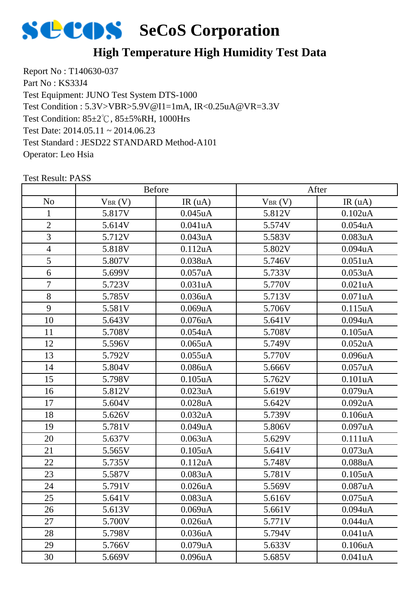

# **High Temperature High Humidity Test Data**

Report No : T140630-037 Part No : KS33J4 Test Equipment: JUNO Test System DTS-1000 Test Condition: 85±2℃, 85±5%RH, 1000Hrs Test Date: 2014.05.11 ~ 2014.06.23 Test Standard : JESD22 STANDARD Method-A101 Operator: Leo Hsia Test Condition : 5.3V>VBR>5.9V@I1=1mA, IR<0.25uA@VR=3.3V

|                | <b>Before</b> |               | After       |                      |
|----------------|---------------|---------------|-------------|----------------------|
| N <sub>0</sub> | $V_{BR}(V)$   | IR(uA)        | $V_{BR}(V)$ | IR(uA)               |
| 1              | 5.817V        | $0.045$ uA    | 5.812V      | 0.102uA              |
| $\sqrt{2}$     | 5.614V        | 0.041uA       | 5.574V      | 0.054uA              |
| 3              | 5.712V        | 0.043uA       | 5.583V      | 0.083uA              |
| $\overline{4}$ | 5.818V        | 0.112uA       | 5.802V      | 0.094uA              |
| 5              | 5.807V        | 0.038uA       | 5.746V      | 0.051uA              |
| 6              | 5.699V        | 0.057uA       | 5.733V      | 0.053uA              |
| $\tau$         | 5.723V        | 0.031uA       | 5.770V      | 0.021uA              |
| 8              | 5.785V        | 0.036uA       | 5.713V      | 0.071uA              |
| 9              | 5.581V        | 0.069uA       | 5.706V      | 0.115uA              |
| 10             | 5.643V        | $0.076$ u $A$ | 5.641V      | 0.094uA              |
| 11             | 5.708V        | $0.054$ uA    | 5.708V      | $0.105$ uA           |
| 12             | 5.596V        | $0.065$ uA    | 5.749V      | 0.052uA              |
| 13             | 5.792V        | 0.055uA       | 5.770V      | 0.096uA              |
| 14             | 5.804V        | $0.086$ u $A$ | 5.666V      | 0.057uA              |
| 15             | 5.798V        | $0.105$ uA    | 5.762V      | 0.101uA              |
| 16             | 5.812V        | $0.023$ uA    | 5.619V      | $0.079$ u $A$        |
| 17             | 5.604V        | 0.028uA       | 5.642V      | 0.092uA              |
| 18             | 5.626V        | 0.032uA       | 5.739V      | 0.106uA              |
| 19             | 5.781V        | 0.049uA       | 5.806V      | 0.097uA              |
| 20             | 5.637V        | 0.063uA       | 5.629V      | 0.111uA              |
| 21             | 5.565V        | $0.105$ uA    | 5.641V      | $0.073$ uA           |
| 22             | 5.735V        | 0.112uA       | 5.748V      | 0.088uA              |
| 23             | 5.587V        | 0.083uA       | 5.781V      | $0.105$ uA           |
| 24             | 5.791V        | $0.026$ uA    | 5.569V      | 0.087uA              |
| 25             | 5.641V        | 0.083uA       | 5.616V      | $0.075$ uA           |
| 26             | 5.613V        | 0.069uA       | 5.661V      | 0.094 <sub>u</sub> A |
| 27             | 5.700V        | $0.026$ u $A$ | 5.771V      | 0.044uA              |
| 28             | 5.798V        | 0.036uA       | 5.794V      | 0.041uA              |
| 29             | 5.766V        | 0.079uA       | 5.633V      | 0.106uA              |
| 30             | 5.669V        | 0.096uA       | 5.685V      | 0.041uA              |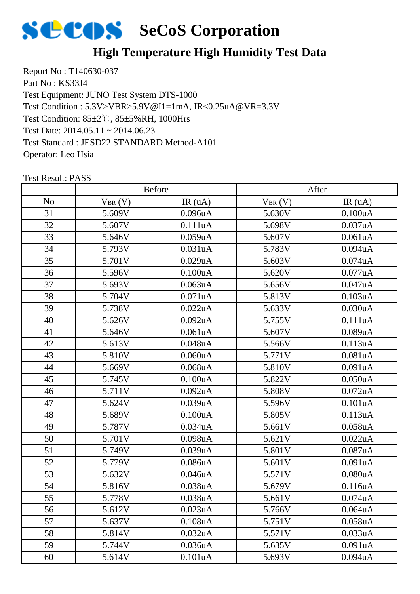

# **High Temperature High Humidity Test Data**

Report No : T140630-037 Part No : KS33J4 Test Equipment: JUNO Test System DTS-1000 Test Condition: 85±2℃, 85±5%RH, 1000Hrs Test Date: 2014.05.11 ~ 2014.06.23 Test Standard : JESD22 STANDARD Method-A101 Operator: Leo Hsia Test Condition : 5.3V>VBR>5.9V@I1=1mA, IR<0.25uA@VR=3.3V

|                | <b>Before</b> |                      | After       |                      |
|----------------|---------------|----------------------|-------------|----------------------|
| N <sub>o</sub> | $V_{BR}(V)$   | IR(uA)               | $V_{BR}(V)$ | IR(uA)               |
| 31             | 5.609V        | 0.096 <sub>u</sub> A | 5.630V      | 0.100uA              |
| 32             | 5.607V        | 0.111uA              | 5.698V      | 0.037uA              |
| 33             | 5.646V        | 0.059uA              | 5.607V      | 0.061uA              |
| 34             | 5.793V        | 0.031uA              | 5.783V      | 0.094uA              |
| 35             | 5.701V        | 0.029uA              | 5.603V      | $0.074$ u $A$        |
| 36             | 5.596V        | 0.100uA              | 5.620V      | $0.077$ uA           |
| 37             | 5.693V        | 0.063uA              | 5.656V      | 0.047uA              |
| 38             | 5.704V        | 0.071uA              | 5.813V      | 0.103uA              |
| 39             | 5.738V        | 0.022uA              | 5.633V      | 0.030uA              |
| 40             | 5.626V        | $0.092$ uA           | 5.755V      | 0.111uA              |
| 41             | 5.646V        | 0.061uA              | 5.607V      | 0.089uA              |
| 42             | 5.613V        | $0.048$ u $A$        | 5.566V      | 0.113uA              |
| 43             | 5.810V        | 0.060uA              | 5.771V      | 0.081uA              |
| 44             | 5.669V        | $0.068$ u $A$        | 5.810V      | 0.091uA              |
| 45             | 5.745V        | 0.100uA              | 5.822V      | 0.050uA              |
| 46             | 5.711V        | $0.092$ uA           | 5.808V      | $0.072$ uA           |
| 47             | 5.624V        | 0.039uA              | 5.596V      | 0.101uA              |
| 48             | 5.689V        | 0.100uA              | 5.805V      | 0.113uA              |
| 49             | 5.787V        | 0.034uA              | 5.661V      | 0.058uA              |
| 50             | 5.701V        | $0.098$ u $A$        | 5.621V      | 0.022uA              |
| 51             | 5.749V        | 0.039uA              | 5.801V      | 0.087uA              |
| 52             | 5.779V        | 0.086uA              | 5.601V      | 0.091uA              |
| 53             | 5.632V        | $0.046$ u $A$        | 5.571V      | 0.080uA              |
| 54             | 5.816V        | 0.038uA              | 5.679V      | 0.116uA              |
| 55             | 5.778V        | 0.038uA              | 5.661V      | 0.074uA              |
| 56             | 5.612V        | 0.023uA              | 5.766V      | 0.064 <sub>u</sub> A |
| 57             | 5.637V        | 0.108uA              | 5.751V      | $0.058$ u $A$        |
| 58             | 5.814V        | 0.032uA              | 5.571V      | 0.033uA              |
| 59             | 5.744V        | 0.036uA              | 5.635V      | 0.091uA              |
| 60             | 5.614V        | 0.101uA              | 5.693V      | 0.094uA              |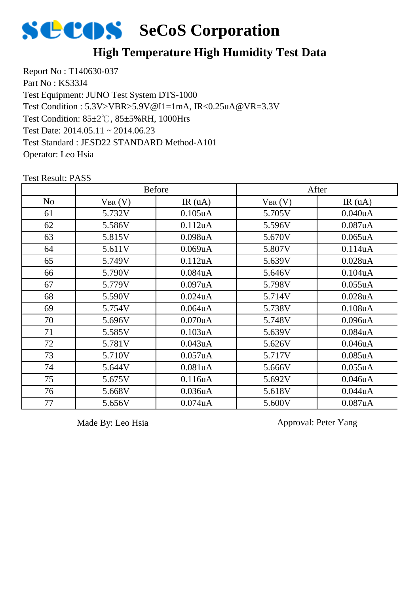

### **High Temperature High Humidity Test Data**

Report No : T140630-037 Part No : KS33J4 Test Equipment: JUNO Test System DTS-1000 Test Condition: 85±2℃, 85±5%RH, 1000Hrs Test Date: 2014.05.11 ~ 2014.06.23 Test Standard : JESD22 STANDARD Method-A101 Operator: Leo Hsia Test Condition : 5.3V>VBR>5.9V@I1=1mA, IR<0.25uA@VR=3.3V

|                |             | <b>Before</b>        |             | After                |
|----------------|-------------|----------------------|-------------|----------------------|
| N <sub>0</sub> | $V_{BR}(V)$ | IR(uA)               | $V_{BR}(V)$ | IR(uA)               |
| 61             | 5.732V      | $0.105$ uA           | 5.705V      | 0.040uA              |
| 62             | 5.586V      | 0.112uA              | 5.596V      | 0.087uA              |
| 63             | 5.815V      | 0.098 <sub>u</sub> A | 5.670V      | $0.065$ uA           |
| 64             | 5.611V      | 0.069uA              | 5.807V      | 0.114uA              |
| 65             | 5.749V      | 0.112uA              | 5.639V      | $0.028$ uA           |
| 66             | 5.790V      | 0.084 <sub>u</sub> A | 5.646V      | 0.104 <sub>u</sub> A |
| 67             | 5.779V      | 0.097uA              | 5.798V      | 0.055uA              |
| 68             | 5.590V      | $0.024$ uA           | 5.714V      | $0.028$ u $A$        |
| 69             | 5.754V      | $0.064$ u $A$        | 5.738V      | 0.108uA              |
| 70             | 5.696V      | 0.070uA              | 5.748V      | 0.096uA              |
| 71             | 5.585V      | 0.103uA              | 5.639V      | 0.084uA              |
| 72             | 5.781V      | 0.043uA              | 5.626V      | 0.046uA              |
| 73             | 5.710V      | 0.057uA              | 5.717V      | $0.085$ uA           |
| 74             | 5.644V      | 0.081 <sub>u</sub> A | 5.666V      | 0.055uA              |
| 75             | 5.675V      | 0.116 <sub>u</sub> A | 5.692V      | 0.046 <sub>u</sub> A |
| 76             | 5.668V      | 0.036uA              | 5.618V      | 0.044uA              |
| 77             | 5.656V      | $0.074$ u $A$        | 5.600V      | 0.087uA              |

Test Result: PASS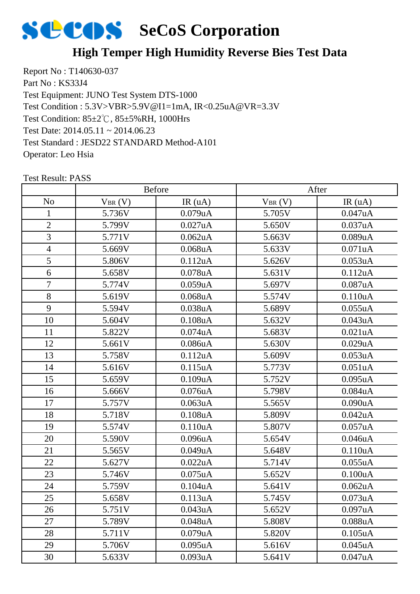

# **High Temper High Humidity Reverse Bies Test Data**

Report No : T140630-037 Part No : KS33J4 Test Equipment: JUNO Test System DTS-1000 Test Condition: 85±2℃, 85±5%RH, 1000Hrs Test Date: 2014.05.11 ~ 2014.06.23 Test Standard : JESD22 STANDARD Method-A101 Operator: Leo Hsia Test Condition : 5.3V>VBR>5.9V@I1=1mA, IR<0.25uA@VR=3.3V

|                | <b>Before</b> |                      | After       |            |
|----------------|---------------|----------------------|-------------|------------|
| N <sub>o</sub> | $V_{BR}(V)$   | IR(uA)               | $V_{BR}(V)$ | IR(uA)     |
| 1              | 5.736V        | 0.079uA              | 5.705V      | 0.047uA    |
| $\mathbf{2}$   | 5.799V        | 0.027uA              | 5.650V      | 0.037uA    |
| 3              | 5.771V        | $0.062$ uA           | 5.663V      | 0.089uA    |
| $\overline{4}$ | 5.669V        | $0.068$ u $A$        | 5.633V      | 0.071uA    |
| 5              | 5.806V        | 0.112uA              | 5.626V      | 0.053uA    |
| 6              | 5.658V        | $0.078$ u $A$        | 5.631V      | 0.112uA    |
| $\tau$         | 5.774V        | 0.059uA              | 5.697V      | 0.087uA    |
| 8              | 5.619V        | $0.068$ u $A$        | 5.574V      | 0.110uA    |
| 9              | 5.594V        | 0.038uA              | 5.689V      | 0.055uA    |
| 10             | 5.604V        | 0.108uA              | 5.632V      | 0.043uA    |
| 11             | 5.822V        | 0.074 <sub>u</sub> A | 5.683V      | 0.021uA    |
| 12             | 5.661V        | 0.086uA              | 5.630V      | 0.029uA    |
| 13             | 5.758V        | 0.112uA              | 5.609V      | 0.053uA    |
| 14             | 5.616V        | 0.115uA              | 5.773V      | 0.051uA    |
| 15             | 5.659V        | 0.109uA              | 5.752V      | $0.095$ uA |
| 16             | 5.666V        | 0.076uA              | 5.798V      | 0.084uA    |
| 17             | 5.757V        | 0.063uA              | 5.565V      | 0.090uA    |
| 18             | 5.718V        | $0.108$ u $A$        | 5.809V      | 0.042uA    |
| 19             | 5.574V        | 0.110uA              | 5.807V      | 0.057uA    |
| 20             | 5.590V        | 0.096uA              | 5.654V      | 0.046uA    |
| 21             | 5.565V        | 0.049uA              | 5.648V      | 0.110uA    |
| 22             | 5.627V        | 0.022uA              | 5.714V      | 0.055uA    |
| 23             | 5.746V        | $0.075$ uA           | 5.652V      | 0.100uA    |
| 24             | 5.759V        | 0.104uA              | 5.641V      | 0.062uA    |
| 25             | 5.658V        | 0.113uA              | 5.745V      | 0.073uA    |
| 26             | 5.751V        | 0.043uA              | 5.652V      | 0.097uA    |
| 27             | 5.789V        | $0.048$ u $A$        | 5.808V      | $0.088$ uA |
| 28             | 5.711V        | 0.079uA              | 5.820V      | 0.105uA    |
| 29             | 5.706V        | $0.095$ uA           | 5.616V      | 0.045uA    |
| 30             | 5.633V        | 0.093uA              | 5.641V      | 0.047uA    |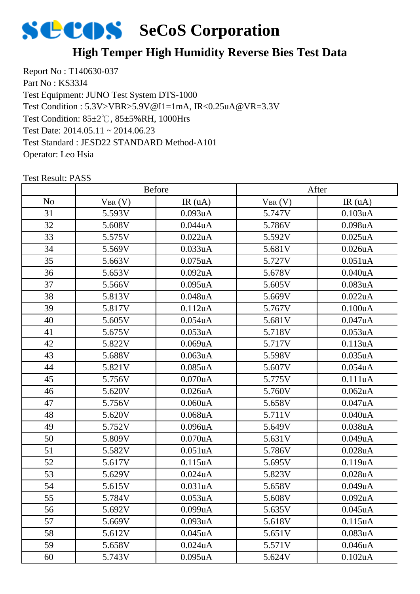

# **High Temper High Humidity Reverse Bies Test Data**

Report No : T140630-037 Part No : KS33J4 Test Equipment: JUNO Test System DTS-1000 Test Condition: 85±2℃, 85±5%RH, 1000Hrs Test Date: 2014.05.11 ~ 2014.06.23 Test Standard : JESD22 STANDARD Method-A101 Operator: Leo Hsia Test Condition : 5.3V>VBR>5.9V@I1=1mA, IR<0.25uA@VR=3.3V

|                | <b>Before</b> |                      | After       |                      |
|----------------|---------------|----------------------|-------------|----------------------|
| N <sub>o</sub> | $V_{BR}(V)$   | IR(uA)               | $V_{BR}(V)$ | IR(uA)               |
| 31             | 5.593V        | 0.093uA              | 5.747V      | 0.103uA              |
| 32             | 5.608V        | 0.044uA              | 5.786V      | 0.098uA              |
| 33             | 5.575V        | 0.022uA              | 5.592V      | $0.025$ uA           |
| 34             | 5.569V        | 0.033uA              | 5.681V      | 0.026uA              |
| 35             | 5.663V        | $0.075$ uA           | 5.727V      | 0.051uA              |
| 36             | 5.653V        | $0.092$ uA           | 5.678V      | 0.040uA              |
| 37             | 5.566V        | $0.095$ uA           | 5.605V      | 0.083uA              |
| 38             | 5.813V        | $0.048$ u $A$        | 5.669V      | 0.022uA              |
| 39             | 5.817V        | 0.112uA              | 5.767V      | 0.100uA              |
| 40             | 5.605V        | $0.054$ u $A$        | 5.681V      | 0.047uA              |
| 41             | 5.675V        | $0.053$ uA           | 5.718V      | 0.053uA              |
| 42             | 5.822V        | 0.069uA              | 5.717V      | 0.113uA              |
| 43             | 5.688V        | $0.063$ uA           | 5.598V      | 0.035uA              |
| 44             | 5.821V        | $0.085$ uA           | 5.607V      | 0.054uA              |
| 45             | 5.756V        | $0.070$ u $A$        | 5.775V      | 0.111uA              |
| 46             | 5.620V        | $0.026$ uA           | 5.760V      | $0.062$ uA           |
| 47             | 5.756V        | 0.060uA              | 5.658V      | 0.047uA              |
| 48             | 5.620V        | $0.068$ u $A$        | 5.711V      | 0.040uA              |
| 49             | 5.752V        | $0.096$ u $A$        | 5.649V      | 0.038uA              |
| 50             | 5.809V        | $0.070$ u $A$        | 5.631V      | 0.049uA              |
| 51             | 5.582V        | 0.051 <sub>u</sub> A | 5.786V      | $0.028$ u $A$        |
| 52             | 5.617V        | 0.115uA              | 5.695V      | 0.119uA              |
| 53             | 5.629V        | $0.024$ u $A$        | 5.823V      | 0.028uA              |
| 54             | 5.615V        | 0.031uA              | 5.658V      | 0.049uA              |
| 55             | 5.784V        | 0.053uA              | 5.608V      | 0.092uA              |
| 56             | 5.692V        | 0.099uA              | 5.635V      | $0.045$ uA           |
| 57             | 5.669V        | 0.093uA              | 5.618V      | 0.115uA              |
| 58             | 5.612V        | $0.045$ uA           | 5.651V      | 0.083uA              |
| 59             | 5.658V        | $0.024$ u $A$        | 5.571V      | 0.046uA              |
| 60             | 5.743V        | $0.095$ uA           | 5.624V      | 0.102 <sub>u</sub> A |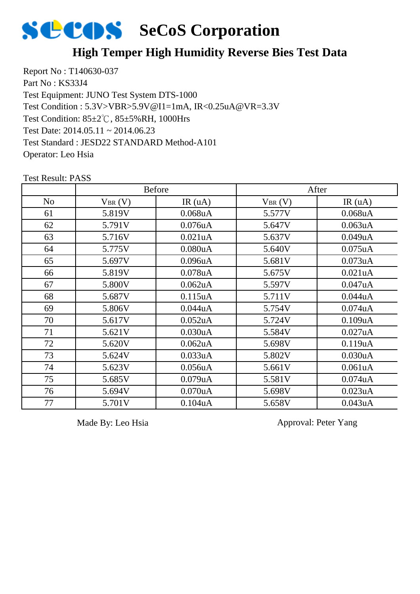

#### **High Temper High Humidity Reverse Bies Test Data**

Report No : T140630-037 Part No : KS33J4 Test Equipment: JUNO Test System DTS-1000 Test Condition: 85±2℃, 85±5%RH, 1000Hrs Test Date: 2014.05.11 ~ 2014.06.23 Test Standard : JESD22 STANDARD Method-A101 Operator: Leo Hsia Test Condition : 5.3V>VBR>5.9V@I1=1mA, IR<0.25uA@VR=3.3V

|                |             | <b>Before</b>        |             | After                |
|----------------|-------------|----------------------|-------------|----------------------|
| N <sub>o</sub> | $V_{BR}(V)$ | IR(uA)               | $V_{BR}(V)$ | IR(uA)               |
| 61             | 5.819V      | $0.068$ uA           | 5.577V      | $0.068$ u $A$        |
| 62             | 5.791V      | $0.076$ u $A$        | 5.647V      | 0.063uA              |
| 63             | 5.716V      | 0.021 <sub>u</sub> A | 5.637V      | 0.049uA              |
| 64             | 5.775V      | 0.080uA              | 5.640V      | $0.075$ uA           |
| 65             | 5.697V      | 0.096 <sub>u</sub> A | 5.681V      | $0.073$ uA           |
| 66             | 5.819V      | $0.078$ u $A$        | 5.675V      | 0.021 <sub>u</sub> A |
| 67             | 5.800V      | 0.062 <sub>u</sub> A | 5.597V      | 0.047uA              |
| 68             | 5.687V      | $0.115$ uA           | 5.711V      | 0.044uA              |
| 69             | 5.806V      | 0.044uA              | 5.754V      | $0.074$ u $A$        |
| 70             | 5.617V      | 0.052 <sub>u</sub> A | 5.724V      | 0.109uA              |
| 71             | 5.621V      | 0.030uA              | 5.584V      | 0.027uA              |
| 72             | 5.620V      | $0.062$ uA           | 5.698V      | 0.119uA              |
| 73             | 5.624V      | 0.033uA              | 5.802V      | 0.030uA              |
| 74             | 5.623V      | $0.056$ uA           | 5.661V      | 0.061uA              |
| 75             | 5.685V      | 0.079uA              | 5.581V      | $0.074$ u $A$        |
| 76             | 5.694V      | $0.070$ u $A$        | 5.698V      | 0.023uA              |
| 77             | 5.701V      | 0.104uA              | 5.658V      | 0.043uA              |

Test Result: PASS